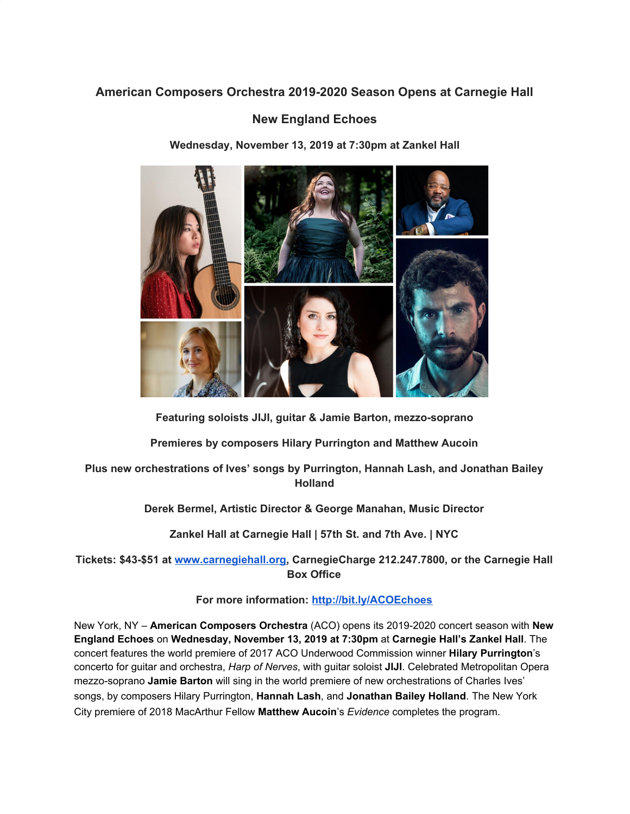# **American Composers Orchestra 2019-2020 Season Opens at Carnegie Hall**

# **New England Echoes**

**Wednesday, November 13, 2019 at 7:30pm at Zankel Hall**



**Featuring soloists JIJI, guitar & Jamie Barton, mezzo-soprano**

**Premieres by composers Hilary Purrington and Matthew Aucoin**

**Plus new orchestrations of Ives' songs by Purrington, Hannah Lash, and Jonathan Bailey Holland**

**Derek Bermel, Artistic Director & George Manahan, Music Director**

**Zankel Hall at Carnegie Hall | 57th St. and 7th Ave. | NYC**

**Tickets: \$43-\$51 at [www.carnegiehall.org](https://u7061146.ct.sendgrid.net/wf/click?upn=84Em28S1K9SvtzcUtu04Ekrv5PPSFBrminXRa7rRcRZMmNkX7WQzjnPi-2BALIIMRn_DruDjhchMBr5xQkz3h1qcOnjZc-2BCsAVhraQ7DxYhbA2-2BHLQf-2BHKWaWi2FTM7QHo-2Fd7eCMDRMAhfd2mcWSs-2FpzNW9MmuPwV7rH-2FbDd7DdSSZKmO39d6Gzwi-2BeLMhf7oHFnGJnL-2FOSr-2BM-2BsnE-2F3Wgf9H0-2Fe47ysqBD-2FktB-2F432Fa2bTIJa7-2BJPfwg9-2Fg9X3hTKuTsch-2BmCD5TGFP-2BK2pCPxrbIZvFk4ChWwpI5Q0C8rWXxBRiWVUPOmS9ny23mqIqf7KLQVnAXkLmn7-2F2AXwlKingWwmbKbUenFI3kBwwSTgttmlklrK4dOlX6v4EuYqPKHX2eofHVC8kdIdKRUqvGijzPU2ccL4Sq5diMRzCJKVU-3D), CarnegieCharge 212.247.7800, or the Carnegie Hall Box Office**

**For more information: [http://bit.ly/ACOEchoes](https://u7061146.ct.sendgrid.net/wf/click?upn=v19UDW8FsixrCS-2Fm9-2By91L8-2FZGwxuhebQ50Xte1vxRk-3D_DruDjhchMBr5xQkz3h1qcOnjZc-2BCsAVhraQ7DxYhbA2-2BHLQf-2BHKWaWi2FTM7QHo-2Fd7eCMDRMAhfd2mcWSs-2FpzNW9MmuPwV7rH-2FbDd7DdSSZKmO39d6Gzwi-2BeLMhf7oHFnGJnL-2FOSr-2BM-2BsnE-2F3Wgf9H0-2Fe47ysqBD-2FktB-2F432Fa2bTIJa7-2BJPfwg9-2Fg9X3hTKuTsch-2BmCD5TGFP-2BK2pCPxly1JnsM20QOKFLroMkEDNoZxuEkYUryFSmIAXdtGz1ZvJs0uL4rKL-2BcIlQ61-2Fi5Z2trgS4JUOWQZus3Cj1oCy4h76sg5DDQ9HvsQ52gcmWJ739BfPf2G7CN769GRjZmbikvt2l5hEcAtdd5SmMFHwg-3D)**

New York, NY – **American Composers Orchestra** (ACO) opens its 2019-2020 concert season with **New England Echoes** on **Wednesday, November 13, 2019 at 7:30pm** at **Carnegie Hall's Zankel Hall**. The concert features the world premiere of 2017 ACO Underwood Commission winner **Hilary Purrington**'s concerto for guitar and orchestra, *Harp of Nerves*, with guitar soloist **JIJI**. Celebrated Metropolitan Opera mezzo-soprano **Jamie Barton** will sing in the world premiere of new orchestrations of Charles Ives' songs, by composers Hilary Purrington, **Hannah Lash**, and **Jonathan Bailey Holland**. The New York City premiere of 2018 MacArthur Fellow **Matthew Aucoin**'s *Evidence* completes the program.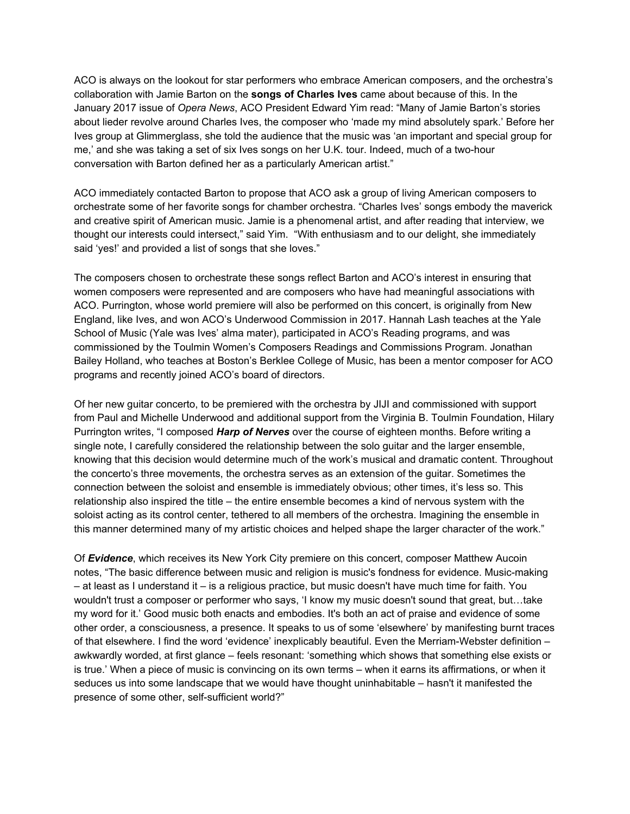ACO is always on the lookout for star performers who embrace American composers, and the orchestra's collaboration with Jamie Barton on the **songs of Charles Ives** came about because of this. In the January 2017 issue of *Opera News*, ACO President Edward Yim read: "Many of Jamie Barton's stories about lieder revolve around Charles Ives, the composer who 'made my mind absolutely spark.' Before her Ives group at Glimmerglass, she told the audience that the music was 'an important and special group for me,' and she was taking a set of six Ives songs on her U.K. tour. Indeed, much of a two-hour conversation with Barton defined her as a particularly American artist."

ACO immediately contacted Barton to propose that ACO ask a group of living American composers to orchestrate some of her favorite songs for chamber orchestra. "Charles Ives' songs embody the maverick and creative spirit of American music. Jamie is a phenomenal artist, and after reading that interview, we thought our interests could intersect," said Yim. "With enthusiasm and to our delight, she immediately said 'yes!' and provided a list of songs that she loves."

The composers chosen to orchestrate these songs reflect Barton and ACO's interest in ensuring that women composers were represented and are composers who have had meaningful associations with ACO. Purrington, whose world premiere will also be performed on this concert, is originally from New England, like Ives, and won ACO's Underwood Commission in 2017. Hannah Lash teaches at the Yale School of Music (Yale was Ives' alma mater), participated in ACO's Reading programs, and was commissioned by the Toulmin Women's Composers Readings and Commissions Program. Jonathan Bailey Holland, who teaches at Boston's Berklee College of Music, has been a mentor composer for ACO programs and recently joined ACO's board of directors.

Of her new guitar concerto, to be premiered with the orchestra by JIJI and commissioned with support from Paul and Michelle Underwood and additional support from the Virginia B. Toulmin Foundation, Hilary Purrington writes, "I composed *Harp of Nerves* over the course of eighteen months. Before writing a single note, I carefully considered the relationship between the solo guitar and the larger ensemble, knowing that this decision would determine much of the work's musical and dramatic content. Throughout the concerto's three movements, the orchestra serves as an extension of the guitar. Sometimes the connection between the soloist and ensemble is immediately obvious; other times, it's less so. This relationship also inspired the title – the entire ensemble becomes a kind of nervous system with the soloist acting as its control center, tethered to all members of the orchestra. Imagining the ensemble in this manner determined many of my artistic choices and helped shape the larger character of the work."

Of *Evidence*, which receives its New York City premiere on this concert, composer Matthew Aucoin notes, "The basic difference between music and religion is music's fondness for evidence. Music-making – at least as I understand it – is a religious practice, but music doesn't have much time for faith. You wouldn't trust a composer or performer who says, 'I know my music doesn't sound that great, but…take my word for it.' Good music both enacts and embodies. It's both an act of praise and evidence of some other order, a consciousness, a presence. It speaks to us of some 'elsewhere' by manifesting burnt traces of that elsewhere. I find the word 'evidence' inexplicably beautiful. Even the Merriam-Webster definition – awkwardly worded, at first glance – feels resonant: 'something which shows that something else exists or is true.' When a piece of music is convincing on its own terms – when it earns its affirmations, or when it seduces us into some landscape that we would have thought uninhabitable – hasn't it manifested the presence of some other, self-sufficient world?"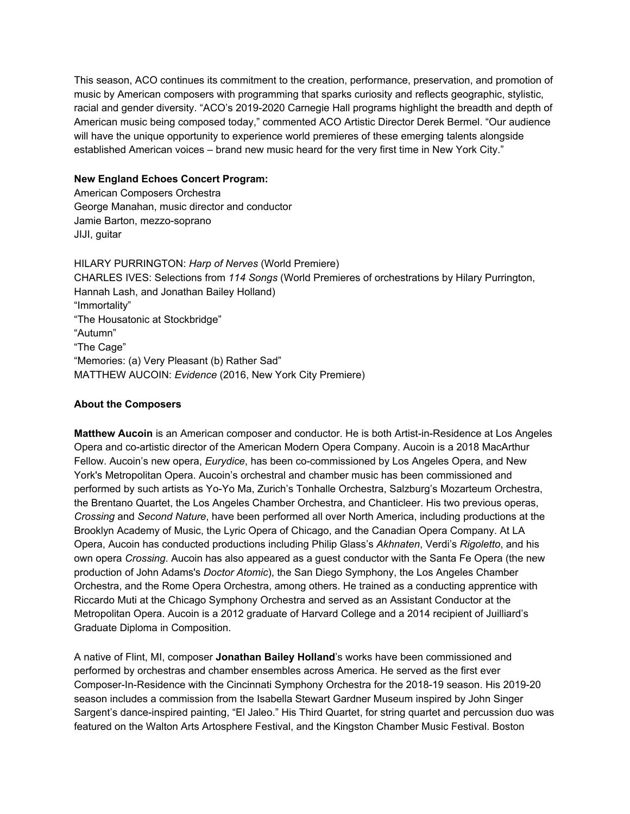This season, ACO continues its commitment to the creation, performance, preservation, and promotion of music by American composers with programming that sparks curiosity and reflects geographic, stylistic, racial and gender diversity. "ACO's 2019-2020 Carnegie Hall programs highlight the breadth and depth of American music being composed today," commented ACO Artistic Director Derek Bermel. "Our audience will have the unique opportunity to experience world premieres of these emerging talents alongside established American voices – brand new music heard for the very first time in New York City."

#### **New England Echoes Concert Program:**

American Composers Orchestra George Manahan, music director and conductor Jamie Barton, mezzo-soprano JIJI, guitar

HILARY PURRINGTON: *Harp of Nerves* (World Premiere) CHARLES IVES: Selections from *114 Songs* (World Premieres of orchestrations by Hilary Purrington, Hannah Lash, and Jonathan Bailey Holland) "Immortality" "The Housatonic at Stockbridge" "Autumn" "The Cage" "Memories: (a) Very Pleasant (b) Rather Sad" MATTHEW AUCOIN: *Evidence* (2016, New York City Premiere)

#### **About the Composers**

**Matthew Aucoin** is an American composer and conductor. He is both Artist-in-Residence at Los Angeles Opera and co-artistic director of the American Modern Opera Company. Aucoin is a 2018 MacArthur Fellow. Aucoin's new opera, *Eurydice*, has been co-commissioned by Los Angeles Opera, and New York's Metropolitan Opera. Aucoin's orchestral and chamber music has been commissioned and performed by such artists as Yo-Yo Ma, Zurich's Tonhalle Orchestra, Salzburg's Mozarteum Orchestra, the Brentano Quartet, the Los Angeles Chamber Orchestra, and Chanticleer. His two previous operas, *Crossing* and *Second Nature*, have been performed all over North America, including productions at the Brooklyn Academy of Music, the Lyric Opera of Chicago, and the Canadian Opera Company. At LA Opera, Aucoin has conducted productions including Philip Glass's *Akhnaten*, Verdi's *Rigoletto*, and his own opera *Crossing*. Aucoin has also appeared as a guest conductor with the Santa Fe Opera (the new production of John Adams's *Doctor Atomic*), the San Diego Symphony, the Los Angeles Chamber Orchestra, and the Rome Opera Orchestra, among others. He trained as a conducting apprentice with Riccardo Muti at the Chicago Symphony Orchestra and served as an Assistant Conductor at the Metropolitan Opera. Aucoin is a 2012 graduate of Harvard College and a 2014 recipient of Juilliard's Graduate Diploma in Composition.

A native of Flint, MI, composer **Jonathan Bailey Holland**'s works have been commissioned and performed by orchestras and chamber ensembles across America. He served as the first ever Composer-In-Residence with the Cincinnati Symphony Orchestra for the 2018-19 season. His 2019-20 season includes a commission from the Isabella Stewart Gardner Museum inspired by John Singer Sargent's dance-inspired painting, "El Jaleo." His Third Quartet, for string quartet and percussion duo was featured on the Walton Arts Artosphere Festival, and the Kingston Chamber Music Festival. Boston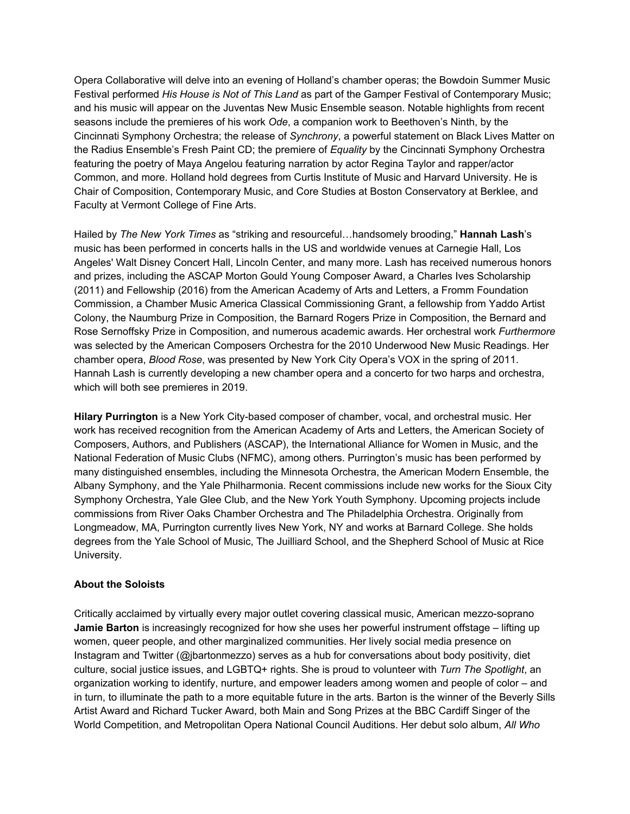Opera Collaborative will delve into an evening of Holland's chamber operas; the Bowdoin Summer Music Festival performed *His House is Not of This Land* as part of the Gamper Festival of Contemporary Music; and his music will appear on the Juventas New Music Ensemble season. Notable highlights from recent seasons include the premieres of his work *Ode*, a companion work to Beethoven's Ninth, by the Cincinnati Symphony Orchestra; the release of *Synchrony*, a powerful statement on Black Lives Matter on the Radius Ensemble's Fresh Paint CD; the premiere of *Equality* by the Cincinnati Symphony Orchestra featuring the poetry of Maya Angelou featuring narration by actor Regina Taylor and rapper/actor Common, and more. Holland hold degrees from Curtis Institute of Music and Harvard University. He is Chair of Composition, Contemporary Music, and Core Studies at Boston Conservatory at Berklee, and Faculty at Vermont College of Fine Arts.

Hailed by *The New York Times* as "striking and resourceful…handsomely brooding," **Hannah Lash**'s music has been performed in concerts halls in the US and worldwide venues at Carnegie Hall, Los Angeles' Walt Disney Concert Hall, Lincoln Center, and many more. Lash has received numerous honors and prizes, including the ASCAP Morton Gould Young Composer Award, a Charles Ives Scholarship (2011) and Fellowship (2016) from the American Academy of Arts and Letters, a Fromm Foundation Commission, a Chamber Music America Classical Commissioning Grant, a fellowship from Yaddo Artist Colony, the Naumburg Prize in Composition, the Barnard Rogers Prize in Composition, the Bernard and Rose Sernoffsky Prize in Composition, and numerous academic awards. Her orchestral work *Furthermore* was selected by the American Composers Orchestra for the 2010 Underwood New Music Readings. Her chamber opera, *Blood Rose*, was presented by New York City Opera's VOX in the spring of 2011. Hannah Lash is currently developing a new chamber opera and a concerto for two harps and orchestra, which will both see premieres in 2019.

**Hilary Purrington** is a New York City-based composer of chamber, vocal, and orchestral music. Her work has received recognition from the American Academy of Arts and Letters, the American Society of Composers, Authors, and Publishers (ASCAP), the International Alliance for Women in Music, and the National Federation of Music Clubs (NFMC), among others. Purrington's music has been performed by many distinguished ensembles, including the Minnesota Orchestra, the American Modern Ensemble, the Albany Symphony, and the Yale Philharmonia. Recent commissions include new works for the Sioux City Symphony Orchestra, Yale Glee Club, and the New York Youth Symphony. Upcoming projects include commissions from River Oaks Chamber Orchestra and The Philadelphia Orchestra. Originally from Longmeadow, MA, Purrington currently lives New York, NY and works at Barnard College. She holds degrees from the Yale School of Music, The Juilliard School, and the Shepherd School of Music at Rice University.

#### **About the Soloists**

Critically acclaimed by virtually every major outlet covering classical music, American mezzo-soprano **Jamie Barton** is increasingly recognized for how she uses her powerful instrument offstage – lifting up women, queer people, and other marginalized communities. Her lively social media presence on Instagram and Twitter (@jbartonmezzo) serves as a hub for conversations about body positivity, diet culture, social justice issues, and LGBTQ+ rights. She is proud to volunteer with *Turn The Spotlight*, an organization working to identify, nurture, and empower leaders among women and people of color – and in turn, to illuminate the path to a more equitable future in the arts. Barton is the winner of the Beverly Sills Artist Award and Richard Tucker Award, both Main and Song Prizes at the BBC Cardiff Singer of the World Competition, and Metropolitan Opera National Council Auditions. Her debut solo album, *All Who*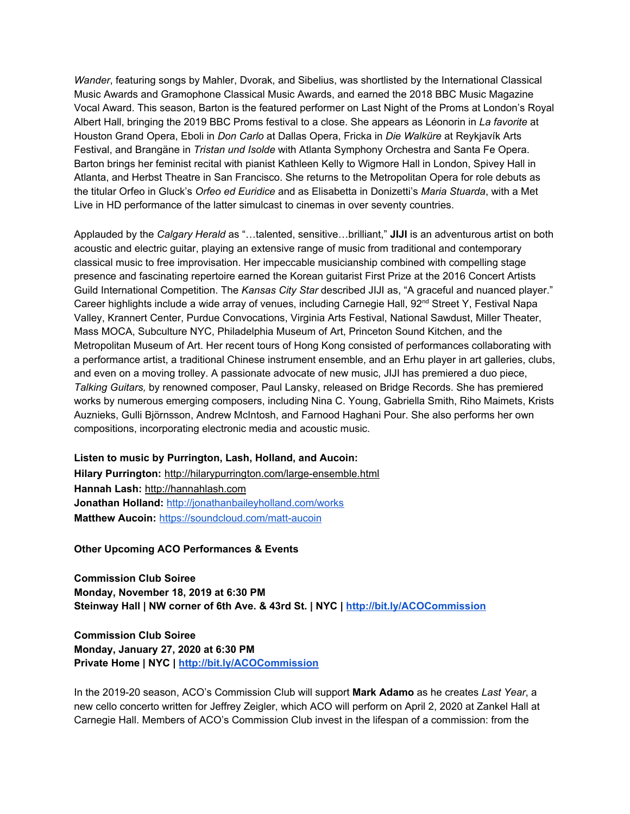*Wander*, featuring songs by Mahler, Dvorak, and Sibelius, was shortlisted by the International Classical Music Awards and Gramophone Classical Music Awards, and earned the 2018 BBC Music Magazine Vocal Award. This season, Barton is the featured performer on Last Night of the Proms at London's Royal Albert Hall, bringing the 2019 BBC Proms festival to a close. She appears as Léonorin in *La favorite* at Houston Grand Opera, Eboli in *Don Carlo* at Dallas Opera, Fricka in *Die Walküre* at Reykjavík Arts Festival, and Brangäne in *Tristan und Isolde* with Atlanta Symphony Orchestra and Santa Fe Opera. Barton brings her feminist recital with pianist Kathleen Kelly to Wigmore Hall in London, Spivey Hall in Atlanta, and Herbst Theatre in San Francisco. She returns to the Metropolitan Opera for role debuts as the titular Orfeo in Gluck's *Orfeo ed Euridice* and as Elisabetta in Donizetti's *Maria Stuarda*, with a Met Live in HD performance of the latter simulcast to cinemas in over seventy countries.

Applauded by the *Calgary Herald* as "…talented, sensitive…brilliant," **JIJI** is an adventurous artist on both acoustic and electric guitar, playing an extensive range of music from traditional and contemporary classical music to free improvisation. Her impeccable musicianship combined with compelling stage presence and fascinating repertoire earned the Korean guitarist First Prize at the 2016 Concert Artists Guild International Competition. The *Kansas City Star* described JIJI as, "A graceful and nuanced player." Career highlights include a wide array of venues, including Carnegie Hall, 92<sup>nd</sup> Street Y, Festival Napa Valley, Krannert Center, Purdue Convocations, Virginia Arts Festival, National Sawdust, Miller Theater, Mass MOCA, Subculture NYC, Philadelphia Museum of Art, Princeton Sound Kitchen, and the Metropolitan Museum of Art. Her recent tours of Hong Kong consisted of performances collaborating with a performance artist, a traditional Chinese instrument ensemble, and an Erhu player in art galleries, clubs, and even on a moving trolley. A passionate advocate of new music, JIJI has premiered a duo piece, *Talking Guitars,* by renowned composer, Paul Lansky, released on Bridge Records. She has premiered works by numerous emerging composers, including Nina C. Young, Gabriella Smith, Riho Maimets, Krists Auznieks, Gulli Björnsson, Andrew McIntosh, and Farnood Haghani Pour. She also performs her own compositions, incorporating electronic media and acoustic music.

# **Listen to music by Purrington, Lash, Holland, and Aucoin: Hilary Purrington:** [http://hilarypurrington.com/large-ensemble.html](https://u7061146.ct.sendgrid.net/wf/click?upn=VNRLcmHR1oQOeKvwyASp7NzzWBQGxgU8CaJKQQdbUNg-2Ba7e17BdL6ONM14p-2BRH3LpNAo0gEaxz-2FEGxpJDbedkg-3D-3D_DruDjhchMBr5xQkz3h1qcOnjZc-2BCsAVhraQ7DxYhbA2-2BHLQf-2BHKWaWi2FTM7QHo-2Fd7eCMDRMAhfd2mcWSs-2FpzNW9MmuPwV7rH-2FbDd7DdSSZKmO39d6Gzwi-2BeLMhf7oHFnGJnL-2FOSr-2BM-2BsnE-2F3Wgf9H0-2Fe47ysqBD-2FktB-2F432Fa2bTIJa7-2BJPfwg9-2Fg9X3hTKuTsch-2BmCD5TGFP-2BK2pCPxgM4eBzWIt3pCWprUT38Eke5Cu3OAB0yqXJP9OBU0DckXkfKwGmKFXWRne-2Bau-2B5UeHAXiDYNayxqDeKfe2934qP-2F4ln-2FfVKcYBlcdZOYJEZEVXneI0fX-2FjWWep92-2B5eEiuUma7hyIQVDol3Tq0NnNLI-3D) **Hannah Lash:** [http://hannahlash.com](https://u7061146.ct.sendgrid.net/wf/click?upn=VNRLcmHR1oQOeKvwyASp7D1OxWV-2F88uQhLNaM-2Bximcs-3D_DruDjhchMBr5xQkz3h1qcOnjZc-2BCsAVhraQ7DxYhbA2-2BHLQf-2BHKWaWi2FTM7QHo-2Fd7eCMDRMAhfd2mcWSs-2FpzNW9MmuPwV7rH-2FbDd7DdSSZKmO39d6Gzwi-2BeLMhf7oHFnGJnL-2FOSr-2BM-2BsnE-2F3Wgf9H0-2Fe47ysqBD-2FktB-2F432Fa2bTIJa7-2BJPfwg9-2Fg9X3hTKuTsch-2BmCD5TGFP-2BK2pCPxltxrwocDYZB-2BTWADXVLkgP-2BeWLEZEPc5mzFvxd76na8kue13A7JecwA5o0SUgPW6Ro11wTanvbe-2Fpd4K7i8isjsOyD2zXBR7dK9JQf2Ubt9iuLuRiuKfGiyqt-2FshECITxyQMqxmmlS76ecEHKntRpE-3D) **Jonathan Holland:** [http://jonathanbaileyholland.com/works](https://u7061146.ct.sendgrid.net/wf/click?upn=bKg1c0SbAwDrnHOyyRAJelDcZRW6JaFBbNrZmb7JMuH6Bcfnu2j89fsqmgNXV5Cx_DruDjhchMBr5xQkz3h1qcOnjZc-2BCsAVhraQ7DxYhbA2-2BHLQf-2BHKWaWi2FTM7QHo-2Fd7eCMDRMAhfd2mcWSs-2FpzNW9MmuPwV7rH-2FbDd7DdSSZKmO39d6Gzwi-2BeLMhf7oHFnGJnL-2FOSr-2BM-2BsnE-2F3Wgf9H0-2Fe47ysqBD-2FktB-2F432Fa2bTIJa7-2BJPfwg9-2Fg9X3hTKuTsch-2BmCD5TGFP-2BK2pCPxi0rt6HUSaXqXjXfF6JdO7mZ-2FMR3vnGhCDQ1tX6keWydDfTcmI8IagDwaa-2BM48MApsKKfgNOnvKaqquBZVO7cx-2BlihHxL6EJp2H1CJOQvPsOfxA7vkAFgF69Ptvc53fBnAgFnmOBW0Emm4yJBB-2B74Mo-3D) **Matthew Aucoin:** <https://soundcloud.com/matt-aucoin>

**Other Upcoming ACO Performances & Events**

**Commission Club Soiree Monday, November 18, 2019 at 6:30 PM Steinway Hall | NW corner of 6th Ave. & 43rd St. | NYC | [http://bit.ly/ACOCommission](https://u7061146.ct.sendgrid.net/wf/click?upn=v19UDW8FsixrCS-2Fm9-2By91B92bZSn4JKEwch2Z6GKRXLo8njpF1Ckx93LczNLpDFu_DruDjhchMBr5xQkz3h1qcOnjZc-2BCsAVhraQ7DxYhbA2-2BHLQf-2BHKWaWi2FTM7QHo-2Fd7eCMDRMAhfd2mcWSs-2FpzNW9MmuPwV7rH-2FbDd7DdSSZKmO39d6Gzwi-2BeLMhf7oHFnGJnL-2FOSr-2BM-2BsnE-2F3Wgf9H0-2Fe47ysqBD-2FktB-2F432Fa2bTIJa7-2BJPfwg9-2Fg9X3hTKuTsch-2BmCD5TGFP-2BK2pCPxkdrc6sJMYw-2BYDucgUaTAOmWBRK76K18aSvy2-2FaPLXkJEdK9SWE2cfnQfx-2FRxfr1chtME5uRvV8Oeb6ciKXs6hqcT-2BA-2FZEXQ7yyq8j78wjrjhu2ON2S-2BtIkS5dVyLbQaXnVrF8GXwke6cRTDUPAnXCg-3D)**

**Commission Club Soiree Monday, January 27, 2020 at 6:30 PM Private Home | NYC | [http://bit.ly/ACOCommission](https://u7061146.ct.sendgrid.net/wf/click?upn=v19UDW8FsixrCS-2Fm9-2By91B92bZSn4JKEwch2Z6GKRXLo8njpF1Ckx93LczNLpDFu_DruDjhchMBr5xQkz3h1qcOnjZc-2BCsAVhraQ7DxYhbA2-2BHLQf-2BHKWaWi2FTM7QHo-2Fd7eCMDRMAhfd2mcWSs-2FpzNW9MmuPwV7rH-2FbDd7DdSSZKmO39d6Gzwi-2BeLMhf7oHFnGJnL-2FOSr-2BM-2BsnE-2F3Wgf9H0-2Fe47ysqBD-2FktB-2F432Fa2bTIJa7-2BJPfwg9-2Fg9X3hTKuTsch-2BmCD5TGFP-2BK2pCPxgidQVzOR3jjvGHldBOmcSQPveInK5W4UBzgTaMfpxjTqO9Uc9zx-2FYNilVbvyh6j8OFajfkGmp69x9DoUNDoth3S4Xie2Zq2ypKozy5PTbB8T5GbMrBfWI9UN23Nf4NYZsbfdGfRosxggD7GJpxbbcE-3D)**

In the 2019-20 season, ACO's Commission Club will support **Mark Adamo** as he creates *Last Year*, a new cello concerto written for Jeffrey Zeigler, which ACO will perform on April 2, 2020 at Zankel Hall at Carnegie Hall. Members of ACO's Commission Club invest in the lifespan of a commission: from the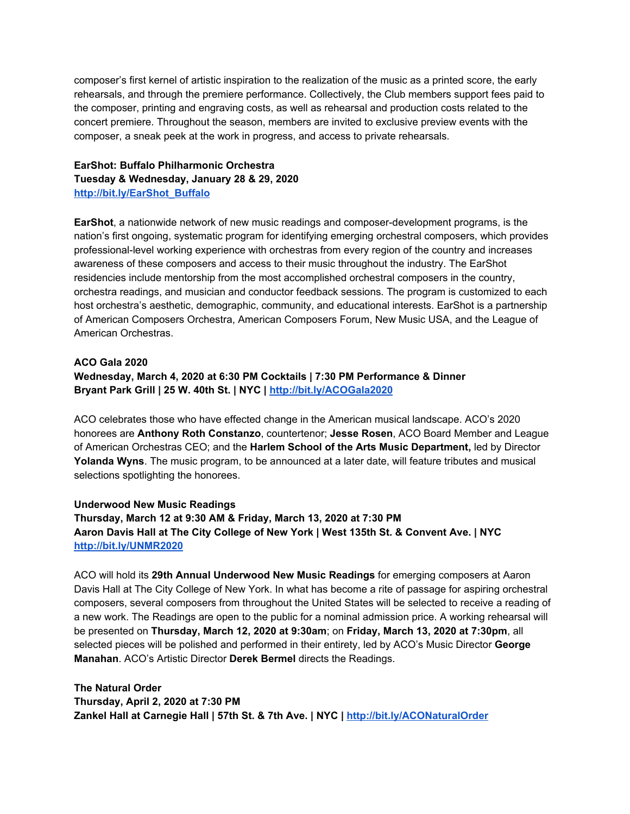composer's first kernel of artistic inspiration to the realization of the music as a printed score, the early rehearsals, and through the premiere performance. Collectively, the Club members support fees paid to the composer, printing and engraving costs, as well as rehearsal and production costs related to the concert premiere. Throughout the season, members are invited to exclusive preview events with the composer, a sneak peek at the work in progress, and access to private rehearsals.

**EarShot: Buffalo Philharmonic Orchestra Tuesday & Wednesday, January 28 & 29, 2020 [http://bit.ly/EarShot\\_Buffalo](https://u7061146.ct.sendgrid.net/wf/click?upn=v19UDW8FsixrCS-2Fm9-2By91N3aQlo244i14oY44s-2BMOEJaApf1f7wZolMGTSQA0Ege_DruDjhchMBr5xQkz3h1qcOnjZc-2BCsAVhraQ7DxYhbA2-2BHLQf-2BHKWaWi2FTM7QHo-2Fd7eCMDRMAhfd2mcWSs-2FpzNW9MmuPwV7rH-2FbDd7DdSSZKmO39d6Gzwi-2BeLMhf7oHFnGJnL-2FOSr-2BM-2BsnE-2F3Wgf9H0-2Fe47ysqBD-2FktB-2F432Fa2bTIJa7-2BJPfwg9-2Fg9X3hTKuTsch-2BmCD5TGFP-2BK2pCPxkfjcamK9uq507ydw1LxploHy-2F4LXk5KZxF3AYbQdfavDx-2BGgdPsn3C1KFGDlWfQfHQwf2D4mp6saOWBXhNsQMJKh1rDwD3r-2BZh56lIBIWPEXs6tYzjBHRMWOjtrwOP6WWcwmQ3T1p4S2-2BV6ZqBta0I-3D)**

**EarShot**, a nationwide network of new music readings and composer-development programs, is the nation's first ongoing, systematic program for identifying emerging orchestral composers, which provides professional-level working experience with orchestras from every region of the country and increases awareness of these composers and access to their music throughout the industry. The EarShot residencies include mentorship from the most accomplished orchestral composers in the country, orchestra readings, and musician and conductor feedback sessions. The program is customized to each host orchestra's aesthetic, demographic, community, and educational interests. EarShot is a partnership of American Composers Orchestra, American Composers Forum, New Music USA, and the League of American Orchestras.

# **ACO Gala 2020 Wednesday, March 4, 2020 at 6:30 PM Cocktails | 7:30 PM Performance & Dinner Bryant Park Grill | 25 W. 40th St. | NYC | [http://bit.ly/ACOGala2020](https://u7061146.ct.sendgrid.net/wf/click?upn=v19UDW8FsixrCS-2Fm9-2By91LaRxgRQ57lndBX77bH2Bxtfl-2BI0h-2FTIpfWNYUPOTJLV_DruDjhchMBr5xQkz3h1qcOnjZc-2BCsAVhraQ7DxYhbA2-2BHLQf-2BHKWaWi2FTM7QHo-2Fd7eCMDRMAhfd2mcWSs-2FpzNW9MmuPwV7rH-2FbDd7DdSSZKmO39d6Gzwi-2BeLMhf7oHFnGJnL-2FOSr-2BM-2BsnE-2F3Wgf9H0-2Fe47ysqBD-2FktB-2F432Fa2bTIJa7-2BJPfwg9-2Fg9X3hTKuTsch-2BmCD5TGFP-2BK2pCPxj7kRyXlhFvDfmqNOFv3O6xcZt-2F4IJHqFvHpIJLR0qJjAoDB9BPWSTs2Y54PcIDKuEdf6w-2BUBz-2Bs2ws2LXb-2B2SvAQn1kG0Jt7MKElutCjZ4kaUvSbfuFZ0-2FleT-2BrLGN-2B2stKNVjU0l9WDokVxfMabmg-3D)**

ACO celebrates those who have effected change in the American musical landscape. ACO's 2020 honorees are **Anthony Roth Constanzo**, countertenor; **Jesse Rosen**, ACO Board Member and League of American Orchestras CEO; and the **Harlem School of the Arts Music Department,** led by Director **Yolanda Wyns**. The music program, to be announced at a later date, will feature tributes and musical selections spotlighting the honorees.

#### **Underwood New Music Readings Thursday, March 12 at 9:30 AM & Friday, March 13, 2020 at 7:30 PM Aaron Davis Hall at The City College of New York | West 135th St. & Convent Ave. | NYC [http://bit.ly/UNMR2020](https://u7061146.ct.sendgrid.net/wf/click?upn=v19UDW8FsixrCS-2Fm9-2By91LbxX2X-2FMiwmO6D0CIjr81U-3D_DruDjhchMBr5xQkz3h1qcOnjZc-2BCsAVhraQ7DxYhbA2-2BHLQf-2BHKWaWi2FTM7QHo-2Fd7eCMDRMAhfd2mcWSs-2FpzNW9MmuPwV7rH-2FbDd7DdSSZKmO39d6Gzwi-2BeLMhf7oHFnGJnL-2FOSr-2BM-2BsnE-2F3Wgf9H0-2Fe47ysqBD-2FktB-2F432Fa2bTIJa7-2BJPfwg9-2Fg9X3hTKuTsch-2BmCD5TGFP-2BK2pCPxsJnW5e-2B6kOvtT4Eb3VL1eUetpmuMIkuoWZBe8b6HwzvhAjx7NwcYZCeLp4opS3tQbQJhS9lUnL-2FSCVK98DJtUoUNok-2BoLJLneF12e0Awg17uu5xyLRGR2MRXjsrqkfJ4TeDEqu1APcEjkeWQeUm5Sk-3D)**

ACO will hold its **29th Annual Underwood New Music Readings** for emerging composers at Aaron Davis Hall at The City College of New York. In what has become a rite of passage for aspiring orchestral composers, several composers from throughout the United States will be selected to receive a reading of a new work. The Readings are open to the public for a nominal admission price. A working rehearsal will be presented on **Thursday, March 12, 2020 at 9:30am**; on **Friday, March 13, 2020 at 7:30pm**, all selected pieces will be polished and performed in their entirety, led by ACO's Music Director **George Manahan**. ACO's Artistic Director **Derek Bermel** directs the Readings.

**The Natural Order Thursday, April 2, 2020 at 7:30 PM Zankel Hall at Carnegie Hall | 57th St. & 7th Ave. | NYC | [http://bit.ly/ACONaturalOrder](https://u7061146.ct.sendgrid.net/wf/click?upn=v19UDW8FsixrCS-2Fm9-2By91CkffIg347piGLvplCVq2oOvU63hl6rMuPcDOvbhafD-2F_DruDjhchMBr5xQkz3h1qcOnjZc-2BCsAVhraQ7DxYhbA2-2BHLQf-2BHKWaWi2FTM7QHo-2Fd7eCMDRMAhfd2mcWSs-2FpzNW9MmuPwV7rH-2FbDd7DdSSZKmO39d6Gzwi-2BeLMhf7oHFnGJnL-2FOSr-2BM-2BsnE-2F3Wgf9H0-2Fe47ysqBD-2FktB-2F432Fa2bTIJa7-2BJPfwg9-2Fg9X3hTKuTsch-2BmCD5TGFP-2BK2pCPxo9vErcmz6jLYcGM9SqP4TrSL-2FXWo9b7aZxYsVvXiCzRYRUfmH-2B9si69ijuUX4G82xuRIoYupyanRmpXKme-2FoAZqLl83kHxFNGmDZgEG7-2FWQ3rGpDyl7cFBdyiuH6KeLWctghxhYIc7jDNR3OIuD290-3D)**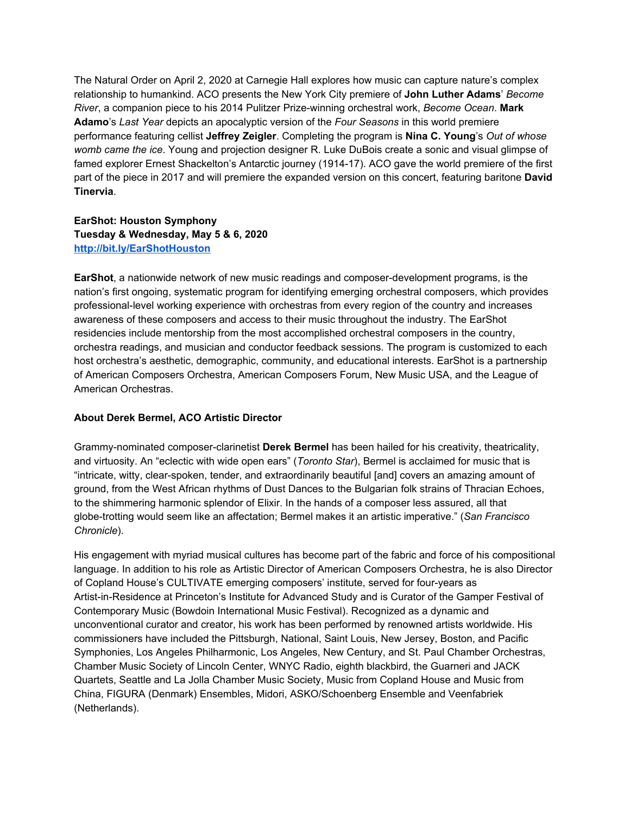The Natural Order on April 2, 2020 at Carnegie Hall explores how music can capture nature's complex relationship to humankind. ACO presents the New York City premiere of **John Luther Adams**' *Become River*, a companion piece to his 2014 Pulitzer Prize-winning orchestral work, *Become Ocean*. **Mark Adamo**'s *Last Year* depicts an apocalyptic version of the *Four Seasons* in this world premiere performance featuring cellist **Jeffrey Zeigler**. Completing the program is **Nina C. Young**'s *Out of whose womb came the ice*. Young and projection designer R. Luke DuBois create a sonic and visual glimpse of famed explorer Ernest Shackelton's Antarctic journey (1914-17). ACO gave the world premiere of the first part of the piece in 2017 and will premiere the expanded version on this concert, featuring baritone **David Tinervia**.

# **EarShot: Houston Symphony Tuesday & Wednesday, May 5 & 6, 2020 [http://bit.ly/EarShotHouston](https://u7061146.ct.sendgrid.net/wf/click?upn=v19UDW8FsixrCS-2Fm9-2By91F9Vhqrei706JXBNMrR7KM3ZfLnOCI0hvVAaLLMkrdGN_DruDjhchMBr5xQkz3h1qcOnjZc-2BCsAVhraQ7DxYhbA2-2BHLQf-2BHKWaWi2FTM7QHo-2Fd7eCMDRMAhfd2mcWSs-2FpzNW9MmuPwV7rH-2FbDd7DdSSZKmO39d6Gzwi-2BeLMhf7oHFnGJnL-2FOSr-2BM-2BsnE-2F3Wgf9H0-2Fe47ysqBD-2FktB-2F432Fa2bTIJa7-2BJPfwg9-2Fg9X3hTKuTsch-2BmCD5TGFP-2BK2pCPxk4xhtU56676tZ7cUf0dWsSP9Svd-2FrZUaRXuTmn-2FY18g0-2FhlUBiNkRZQ90yc0Xxhf-2BnniuWDFdrq2mCjlzi-2FwYOpdVEmdkf5jueB7cEJ-2BBxR2c5rfiaflz8PkTQ4pWPqyp1OpFNhEzJz7BsWuh4-2BxfA-3D)**

**EarShot**, a nationwide network of new music readings and composer-development programs, is the nation's first ongoing, systematic program for identifying emerging orchestral composers, which provides professional-level working experience with orchestras from every region of the country and increases awareness of these composers and access to their music throughout the industry. The EarShot residencies include mentorship from the most accomplished orchestral composers in the country, orchestra readings, and musician and conductor feedback sessions. The program is customized to each host orchestra's aesthetic, demographic, community, and educational interests. EarShot is a partnership of American Composers Orchestra, American Composers Forum, New Music USA, and the League of American Orchestras.

## **About Derek Bermel, ACO Artistic Director**

Grammy-nominated composer-clarinetist **Derek Bermel** has been hailed for his creativity, theatricality, and virtuosity. An "eclectic with wide open ears" (*Toronto Star*), Bermel is acclaimed for music that is "intricate, witty, clear-spoken, tender, and extraordinarily beautiful [and] covers an amazing amount of ground, from the West African rhythms of Dust Dances to the Bulgarian folk strains of Thracian Echoes, to the shimmering harmonic splendor of Elixir. In the hands of a composer less assured, all that globe-trotting would seem like an affectation; Bermel makes it an artistic imperative." (*San Francisco Chronicle*).

His engagement with myriad musical cultures has become part of the fabric and force of his compositional language. In addition to his role as Artistic Director of American Composers Orchestra, he is also Director of Copland House's CULTIVATE emerging composers' institute, served for four-years as Artist-in-Residence at Princeton's Institute for Advanced Study and is Curator of the Gamper Festival of Contemporary Music (Bowdoin International Music Festival). Recognized as a dynamic and unconventional curator and creator, his work has been performed by renowned artists worldwide. His commissioners have included the Pittsburgh, National, Saint Louis, New Jersey, Boston, and Pacific Symphonies, Los Angeles Philharmonic, Los Angeles, New Century, and St. Paul Chamber Orchestras, Chamber Music Society of Lincoln Center, WNYC Radio, eighth blackbird, the Guarneri and JACK Quartets, Seattle and La Jolla Chamber Music Society, Music from Copland House and Music from China, FIGURA (Denmark) Ensembles, Midori, ASKO/Schoenberg Ensemble and Veenfabriek (Netherlands).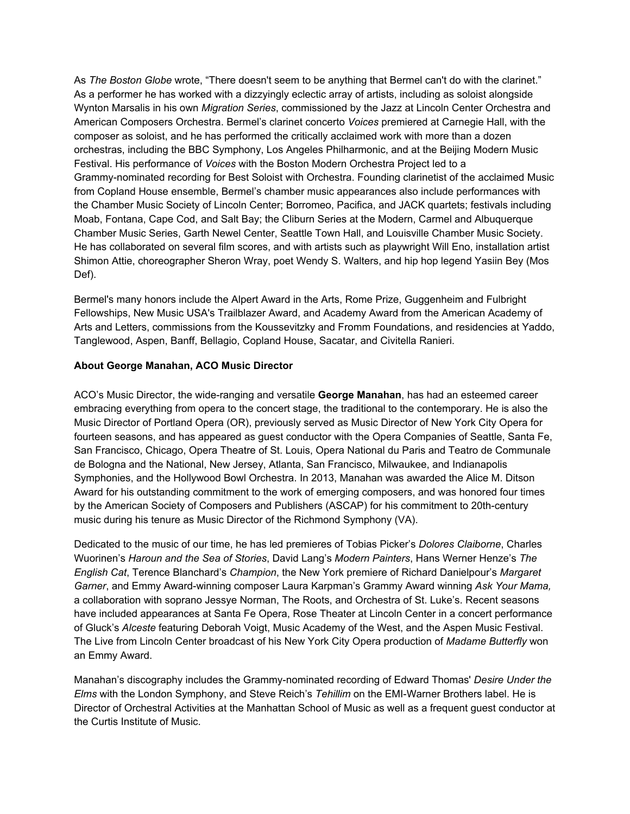As *The Boston Globe* wrote, "There doesn't seem to be anything that Bermel can't do with the clarinet." As a performer he has worked with a dizzyingly eclectic array of artists, including as soloist alongside Wynton Marsalis in his own *Migration Series*, commissioned by the Jazz at Lincoln Center Orchestra and American Composers Orchestra. Bermel's clarinet concerto *Voices* premiered at Carnegie Hall, with the composer as soloist, and he has performed the critically acclaimed work with more than a dozen orchestras, including the BBC Symphony, Los Angeles Philharmonic, and at the Beijing Modern Music Festival. His performance of *Voices* with the Boston Modern Orchestra Project led to a Grammy-nominated recording for Best Soloist with Orchestra. Founding clarinetist of the acclaimed Music from Copland House ensemble, Bermel's chamber music appearances also include performances with the Chamber Music Society of Lincoln Center; Borromeo, Pacifica, and JACK quartets; festivals including Moab, Fontana, Cape Cod, and Salt Bay; the Cliburn Series at the Modern, Carmel and Albuquerque Chamber Music Series, Garth Newel Center, Seattle Town Hall, and Louisville Chamber Music Society. He has collaborated on several film scores, and with artists such as playwright Will Eno, installation artist Shimon Attie, choreographer Sheron Wray, poet Wendy S. Walters, and hip hop legend Yasiin Bey (Mos Def).

Bermel's many honors include the Alpert Award in the Arts, Rome Prize, Guggenheim and Fulbright Fellowships, New Music USA's Trailblazer Award, and Academy Award from the American Academy of Arts and Letters, commissions from the Koussevitzky and Fromm Foundations, and residencies at Yaddo, Tanglewood, Aspen, Banff, Bellagio, Copland House, Sacatar, and Civitella Ranieri.

#### **About George Manahan, ACO Music Director**

ACO's Music Director, the wide-ranging and versatile **George Manahan**, has had an esteemed career embracing everything from opera to the concert stage, the traditional to the contemporary. He is also the Music Director of Portland Opera (OR), previously served as Music Director of New York City Opera for fourteen seasons, and has appeared as guest conductor with the Opera Companies of Seattle, Santa Fe, San Francisco, Chicago, Opera Theatre of St. Louis, Opera National du Paris and Teatro de Communale de Bologna and the National, New Jersey, Atlanta, San Francisco, Milwaukee, and Indianapolis Symphonies, and the Hollywood Bowl Orchestra. In 2013, Manahan was awarded the Alice M. Ditson Award for his outstanding commitment to the work of emerging composers, and was honored four times by the American Society of Composers and Publishers (ASCAP) for his commitment to 20th-century music during his tenure as Music Director of the Richmond Symphony (VA).

Dedicated to the music of our time, he has led premieres of Tobias Picker's *Dolores Claiborne*, Charles Wuorinen's *Haroun and the Sea of Stories*, David Lang's *Modern Painters*, Hans Werner Henze's *The English Cat*, Terence Blanchard's *Champion*, the New York premiere of Richard Danielpour's *Margaret Garner*, and Emmy Award-winning composer Laura Karpman's Grammy Award winning *Ask Your Mama,* a collaboration with soprano Jessye Norman, The Roots, and Orchestra of St. Luke's. Recent seasons have included appearances at Santa Fe Opera, Rose Theater at Lincoln Center in a concert performance of Gluck's *Alceste* featuring Deborah Voigt, Music Academy of the West, and the Aspen Music Festival. The Live from Lincoln Center broadcast of his New York City Opera production of *Madame Butterfly* won an Emmy Award.

Manahan's discography includes the Grammy-nominated recording of Edward Thomas' *Desire Under the Elms* with the London Symphony, and Steve Reich's *Tehillim* on the EMI-Warner Brothers label. He is Director of Orchestral Activities at the Manhattan School of Music as well as a frequent guest conductor at the Curtis Institute of Music.